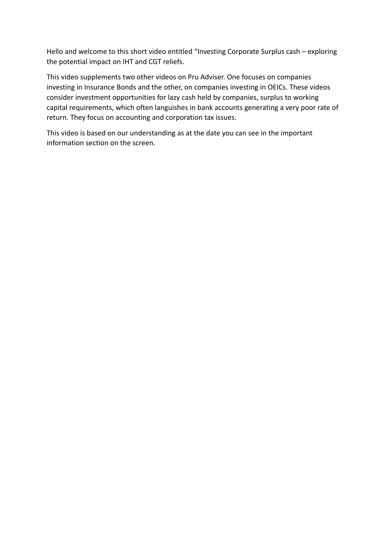Hello and welcome to this short video entitled "Investing Corporate Surplus cash – exploring the potential impact on IHT and CGT reliefs.

This video supplements two other videos on Pru Adviser. One focuses on companies investing in Insurance Bonds and the other, on companies investing in OEICs. These videos consider investment opportunities for lazy cash held by companies, surplus to working capital requirements, which often languishes in bank accounts generating a very poor rate of return. They focus on accounting and corporation tax issues.

This video is based on our understanding as at the date you can see in the important information section on the screen.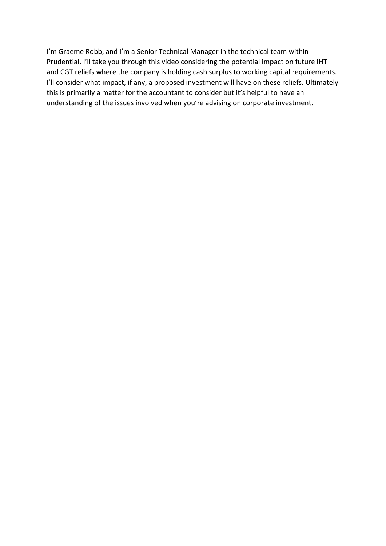I'm Graeme Robb, and I'm a Senior Technical Manager in the technical team within Prudential. I'll take you through this video considering the potential impact on future IHT and CGT reliefs where the company is holding cash surplus to working capital requirements. I'll consider what impact, if any, a proposed investment will have on these reliefs. Ultimately this is primarily a matter for the accountant to consider but it's helpful to have an understanding of the issues involved when you're advising on corporate investment.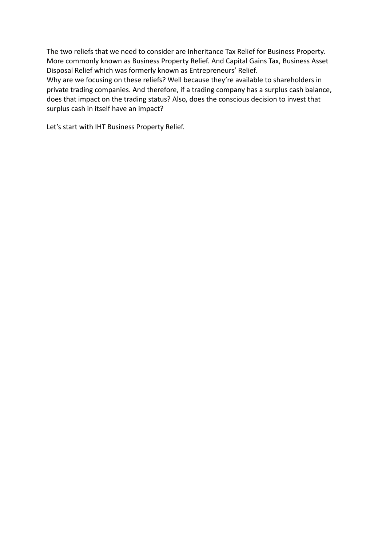The two reliefs that we need to consider are Inheritance Tax Relief for Business Property. More commonly known as Business Property Relief. And Capital Gains Tax, Business Asset Disposal Relief which was formerly known as Entrepreneurs' Relief.

Why are we focusing on these reliefs? Well because they're available to shareholders in private trading companies. And therefore, if a trading company has a surplus cash balance, does that impact on the trading status? Also, does the conscious decision to invest that surplus cash in itself have an impact?

Let's start with IHT Business Property Relief.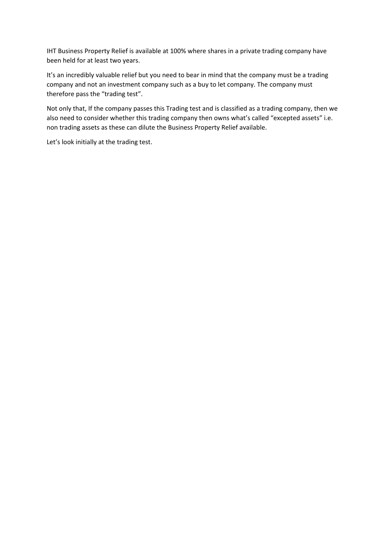IHT Business Property Relief is available at 100% where shares in a private trading company have been held for at least two years.

It's an incredibly valuable relief but you need to bear in mind that the company must be a trading company and not an investment company such as a buy to let company. The company must therefore pass the "trading test".

Not only that, If the company passes this Trading test and is classified as a trading company, then we also need to consider whether this trading company then owns what's called "excepted assets" i.e. non trading assets as these can dilute the Business Property Relief available.

Let's look initially at the trading test.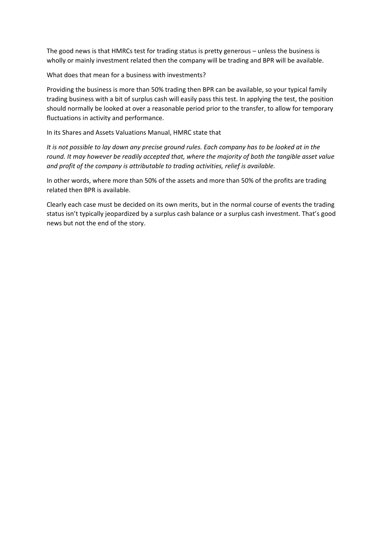The good news is that HMRCs test for trading status is pretty generous – unless the business is wholly or mainly investment related then the company will be trading and BPR will be available.

What does that mean for a business with investments?

Providing the business is more than 50% trading then BPR can be available, so your typical family trading business with a bit of surplus cash will easily pass this test. In applying the test, the position should normally be looked at over a reasonable period prior to the transfer, to allow for temporary fluctuations in activity and performance.

In its Shares and Assets Valuations Manual, HMRC state that

*It is not possible to lay down any precise ground rules. Each company has to be looked at in the round. It may however be readily accepted that, where the majority of both the tangible asset value and profit of the company is attributable to trading activities, relief is available.*

In other words, where more than 50% of the assets and more than 50% of the profits are trading related then BPR is available.

Clearly each case must be decided on its own merits, but in the normal course of events the trading status isn't typically jeopardized by a surplus cash balance or a surplus cash investment. That's good news but not the end of the story.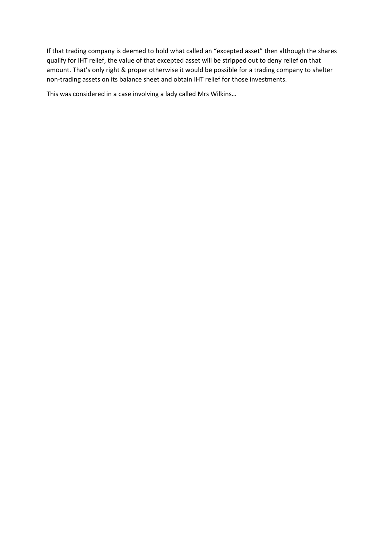If that trading company is deemed to hold what called an "excepted asset" then although the shares qualify for IHT relief, the value of that excepted asset will be stripped out to deny relief on that amount. That's only right & proper otherwise it would be possible for a trading company to shelter non-trading assets on its balance sheet and obtain IHT relief for those investments.

This was considered in a case involving a lady called Mrs Wilkins…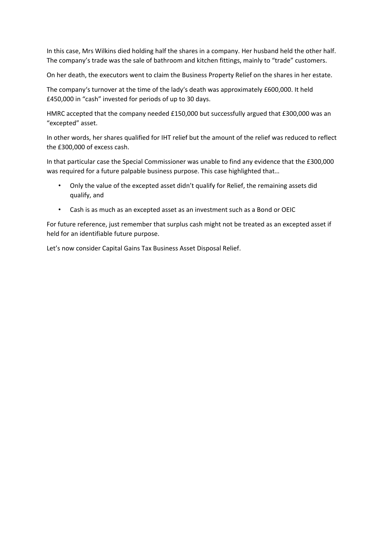In this case, Mrs Wilkins died holding half the shares in a company. Her husband held the other half. The company's trade was the sale of bathroom and kitchen fittings, mainly to "trade" customers.

On her death, the executors went to claim the Business Property Relief on the shares in her estate.

The company's turnover at the time of the lady's death was approximately £600,000. It held £450,000 in "cash" invested for periods of up to 30 days.

HMRC accepted that the company needed £150,000 but successfully argued that £300,000 was an "excepted" asset.

In other words, her shares qualified for IHT relief but the amount of the relief was reduced to reflect the £300,000 of excess cash.

In that particular case the Special Commissioner was unable to find any evidence that the £300,000 was required for a future palpable business purpose. This case highlighted that…

- Only the value of the excepted asset didn't qualify for Relief, the remaining assets did qualify, and
- Cash is as much as an excepted asset as an investment such as a Bond or OEIC

For future reference, just remember that surplus cash might not be treated as an excepted asset if held for an identifiable future purpose.

Let's now consider Capital Gains Tax Business Asset Disposal Relief.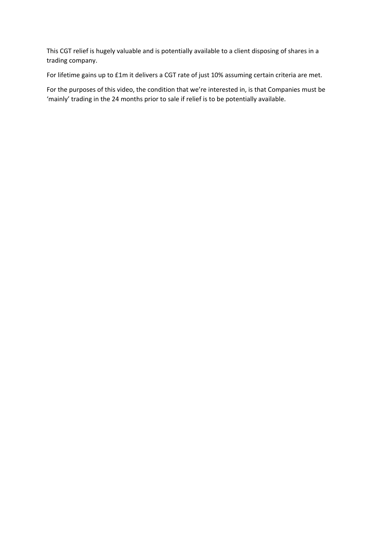This CGT relief is hugely valuable and is potentially available to a client disposing of shares in a trading company.

For lifetime gains up to £1m it delivers a CGT rate of just 10% assuming certain criteria are met.

For the purposes of this video, the condition that we're interested in, is that Companies must be 'mainly' trading in the 24 months prior to sale if relief is to be potentially available.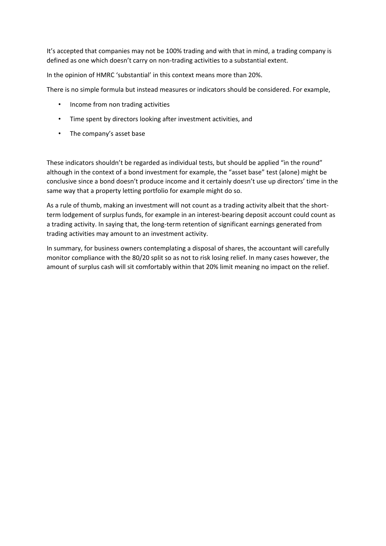It's accepted that companies may not be 100% trading and with that in mind, a trading company is defined as one which doesn't carry on non-trading activities to a substantial extent.

In the opinion of HMRC 'substantial' in this context means more than 20%.

There is no simple formula but instead measures or indicators should be considered. For example,

- Income from non trading activities
- Time spent by directors looking after investment activities, and
- The company's asset base

These indicators shouldn't be regarded as individual tests, but should be applied "in the round" although in the context of a bond investment for example, the "asset base" test (alone) might be conclusive since a bond doesn't produce income and it certainly doesn't use up directors' time in the same way that a property letting portfolio for example might do so.

As a rule of thumb, making an investment will not count as a trading activity albeit that the shortterm lodgement of surplus funds, for example in an interest-bearing deposit account could count as a trading activity. In saying that, the long-term retention of significant earnings generated from trading activities may amount to an investment activity.

In summary, for business owners contemplating a disposal of shares, the accountant will carefully monitor compliance with the 80/20 split so as not to risk losing relief. In many cases however, the amount of surplus cash will sit comfortably within that 20% limit meaning no impact on the relief.